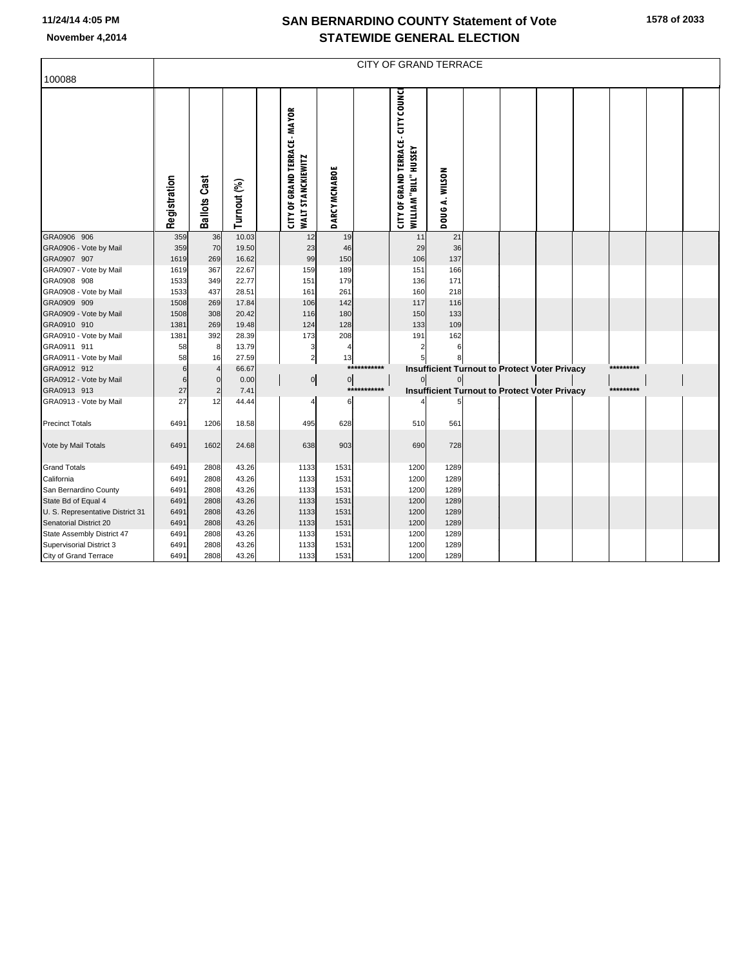## **SAN BERNARDINO COUNTY Statement of Vote November 4,2014 STATEWIDE GENERAL ELECTION**

|                                       | <b>CITY OF GRAND TERRACE</b> |                               |               |  |                                                                  |                |             |                                                                     |                |  |                                                      |  |  |           |  |
|---------------------------------------|------------------------------|-------------------------------|---------------|--|------------------------------------------------------------------|----------------|-------------|---------------------------------------------------------------------|----------------|--|------------------------------------------------------|--|--|-----------|--|
| 100088                                |                              |                               |               |  |                                                                  |                |             |                                                                     |                |  |                                                      |  |  |           |  |
|                                       |                              |                               |               |  |                                                                  |                |             |                                                                     |                |  |                                                      |  |  |           |  |
|                                       | Registration                 | <b>Ballots Cast</b>           | Turnout (%)   |  | <b>CITY OF GRAND TERRACE - MAYOR</b><br><b>WALT STANCKIEWITZ</b> | DARCY MCNABOE  |             | CITY OF GRAND TERRACE - CITY COUNCI<br><b>WILLIAM "BILL" HUSSEY</b> | DOUG A. WILSON |  |                                                      |  |  |           |  |
| GRA0906 906                           | 359                          | 36                            | 10.03         |  | 12                                                               | 19             |             | 11                                                                  | 21             |  |                                                      |  |  |           |  |
| GRA0906 - Vote by Mail                | 359                          | 70                            | 19.50         |  | 23                                                               | 46             |             | 29                                                                  | 36             |  |                                                      |  |  |           |  |
| GRA0907 907                           | 1619                         | 269                           | 16.62         |  | 99                                                               | 150            |             | 106                                                                 | 137            |  |                                                      |  |  |           |  |
| GRA0907 - Vote by Mail                | 1619                         | 367                           | 22.67         |  | 159                                                              | 189            |             | 151                                                                 | 166            |  |                                                      |  |  |           |  |
| GRA0908 908                           | 1533                         | 349                           | 22.77         |  | 151                                                              | 179            |             | 136                                                                 | 171            |  |                                                      |  |  |           |  |
| GRA0908 - Vote by Mail                | 1533                         | 437                           | 28.51         |  | 161                                                              | 261            |             | 160                                                                 | 218            |  |                                                      |  |  |           |  |
| GRA0909 909                           | 1508                         | 269                           | 17.84         |  | 106                                                              | 142            |             | 117                                                                 | 116            |  |                                                      |  |  |           |  |
| GRA0909 - Vote by Mail                | 1508                         | 308                           | 20.42         |  | 116                                                              | 180            |             | 150                                                                 | 133            |  |                                                      |  |  |           |  |
| GRA0910 910                           | 1381                         | 269                           | 19.48         |  | 124                                                              | 128            |             | 133                                                                 | 109            |  |                                                      |  |  |           |  |
| GRA0910 - Vote by Mail                | 1381                         | 392                           | 28.39         |  | 173                                                              | 208            |             | 191<br>2                                                            | 162            |  |                                                      |  |  |           |  |
| GRA0911 911                           | 58                           | 8                             | 13.79         |  | 3                                                                | $\overline{4}$ |             |                                                                     | 6              |  |                                                      |  |  |           |  |
| GRA0911 - Vote by Mail                | 58                           | 16                            | 27.59         |  | $\overline{\mathbf{c}}$                                          | 13             | *********** |                                                                     |                |  |                                                      |  |  | ********* |  |
| GRA0912 912<br>GRA0912 - Vote by Mail | 6<br>6                       | $\overline{4}$<br>$\mathbf 0$ | 66.67<br>0.00 |  |                                                                  | $\overline{0}$ |             | $\mathbf{0}$                                                        | $\overline{0}$ |  | Insufficient Turnout to Protect Voter Privacy        |  |  |           |  |
| GRA0913 913                           | 27                           | $\overline{c}$                | 7.41          |  | $\overline{0}$                                                   | $***$          | ********    |                                                                     |                |  | <b>Insufficient Turnout to Protect Voter Privacy</b> |  |  | ********* |  |
| GRA0913 - Vote by Mail                | 27                           | 12                            | 44.44         |  | 4                                                                | 6              |             |                                                                     |                |  |                                                      |  |  |           |  |
| <b>Precinct Totals</b>                | 6491                         | 1206                          | 18.58         |  | 495                                                              | 628            |             | 510                                                                 | 561            |  |                                                      |  |  |           |  |
| Vote by Mail Totals                   | 6491                         | 1602                          | 24.68         |  | 638                                                              | 903            |             | 690                                                                 | 728            |  |                                                      |  |  |           |  |
| <b>Grand Totals</b>                   | 6491                         | 2808                          | 43.26         |  | 1133                                                             | 1531           |             | 1200                                                                | 1289           |  |                                                      |  |  |           |  |
| California                            | 6491                         | 2808                          | 43.26         |  | 1133                                                             | 1531           |             | 1200                                                                | 1289           |  |                                                      |  |  |           |  |
| San Bernardino County                 | 6491                         | 2808                          | 43.26         |  | 1133                                                             | 1531           |             | 1200                                                                | 1289           |  |                                                      |  |  |           |  |
| State Bd of Equal 4                   | 6491                         | 2808                          | 43.26         |  | 1133                                                             | 1531           |             | 1200                                                                | 1289           |  |                                                      |  |  |           |  |
| U. S. Representative District 31      | 6491                         | 2808                          | 43.26         |  | 1133                                                             | 1531           |             | 1200                                                                | 1289           |  |                                                      |  |  |           |  |
| Senatorial District 20                | 6491                         | 2808                          | 43.26         |  | 1133                                                             | 1531           |             | 1200                                                                | 1289           |  |                                                      |  |  |           |  |
| State Assembly District 47            | 6491                         | 2808                          | 43.26         |  | 1133                                                             | 1531           |             | 1200                                                                | 1289           |  |                                                      |  |  |           |  |
| Supervisorial District 3              | 6491                         | 2808                          | 43.26         |  | 1133                                                             | 1531           |             | 1200                                                                | 1289           |  |                                                      |  |  |           |  |
| City of Grand Terrace                 | 6491                         | 2808                          | 43.26         |  | 1133                                                             | 1531           |             | 1200                                                                | 1289           |  |                                                      |  |  |           |  |